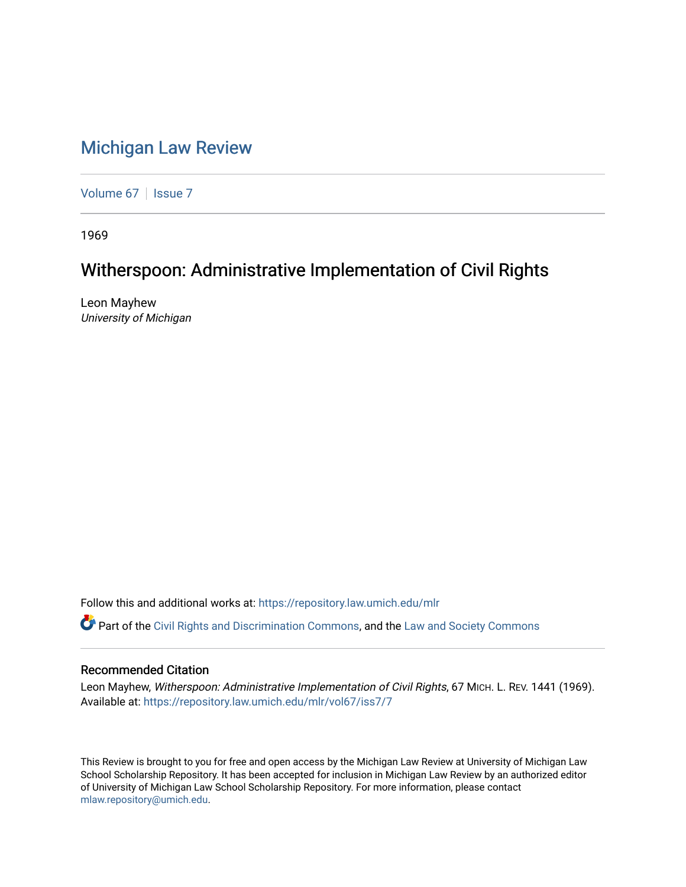## [Michigan Law Review](https://repository.law.umich.edu/mlr)

[Volume 67](https://repository.law.umich.edu/mlr/vol67) | [Issue 7](https://repository.law.umich.edu/mlr/vol67/iss7)

1969

# Witherspoon: Administrative Implementation of Civil Rights

Leon Mayhew University of Michigan

Follow this and additional works at: [https://repository.law.umich.edu/mlr](https://repository.law.umich.edu/mlr?utm_source=repository.law.umich.edu%2Fmlr%2Fvol67%2Fiss7%2F7&utm_medium=PDF&utm_campaign=PDFCoverPages) 

Part of the [Civil Rights and Discrimination Commons,](http://network.bepress.com/hgg/discipline/585?utm_source=repository.law.umich.edu%2Fmlr%2Fvol67%2Fiss7%2F7&utm_medium=PDF&utm_campaign=PDFCoverPages) and the [Law and Society Commons](http://network.bepress.com/hgg/discipline/853?utm_source=repository.law.umich.edu%2Fmlr%2Fvol67%2Fiss7%2F7&utm_medium=PDF&utm_campaign=PDFCoverPages) 

### Recommended Citation

Leon Mayhew, Witherspoon: Administrative Implementation of Civil Rights, 67 MICH. L. REV. 1441 (1969). Available at: [https://repository.law.umich.edu/mlr/vol67/iss7/7](https://repository.law.umich.edu/mlr/vol67/iss7/7?utm_source=repository.law.umich.edu%2Fmlr%2Fvol67%2Fiss7%2F7&utm_medium=PDF&utm_campaign=PDFCoverPages)

This Review is brought to you for free and open access by the Michigan Law Review at University of Michigan Law School Scholarship Repository. It has been accepted for inclusion in Michigan Law Review by an authorized editor of University of Michigan Law School Scholarship Repository. For more information, please contact [mlaw.repository@umich.edu.](mailto:mlaw.repository@umich.edu)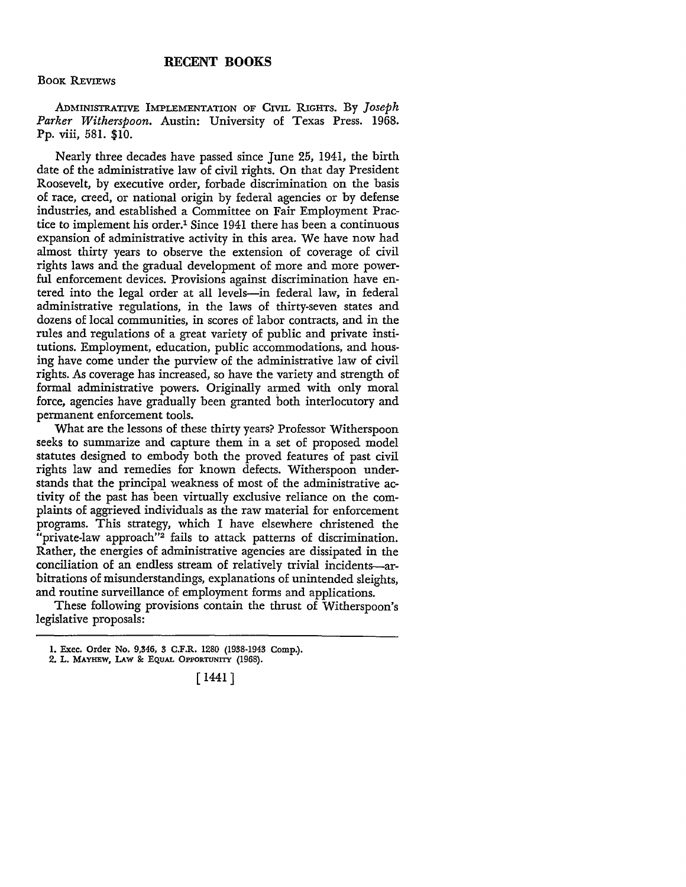#### **BOOK REVIEWS**

ADMINISTRATIVE IMPLEMENTATION OF CIVIL RIGHTS. By *Joseph Parker Witherspoon.* Austin: University of Texas Press. 1968. Pp. viii, 581. \$10.

Nearly three decades have passed since June 25, 1941, the birth date of the administrative law of civil rights. On that day President Roosevelt, by executive order, forbade discrimination on the basis of race, creed, or national origin by federal agencies or by defense industries, and established a Committee on Fair Employment Practice to implement his order.<sup>1</sup> Since 1941 there has been a continuous expansion of administrative activity in this area. We have now had almost thirty years to observe the extension of coverage of civil rights laws and the gradual development of more and more powerful enforcement devices. Provisions against discrimination have entered into the legal order at all levels--in federal law, in federal administrative regulations, in the laws of thirty-seven states and dozens of local communities, in scores of labor contracts, and in the rules and regulations of a great variety of public and private institutions. Employment, education, public accommodations, and housing have come under the purview of the administrative law of civil rights. As coverage has increased, so have the variety and strength of formal administrative powers. Originally armed with only moral force, agencies have gradually been granted both interlocutory and permanent enforcement tools.

What are the lessons of these thirty years? Professor Witherspoon seeks to summarize and capture them in a set of proposed model statutes designed to embody both the proved features of past civil rights law and remedies for known defects. Witherspoon understands that the principal weakness of most of the administrative activity of the past has been virtually exclusive reliance on the complaints of aggrieved individuals as the raw material for enforcement programs. This strategy, which I have elsewhere christened the 'private-law approach"<sup>2</sup> fails to attack patterns of discrimination. Rather, the energies of administrative agencies are dissipated in the conciliation of an endless stream of relatively trivial incidents--arbitrations of misunderstandings, explanations of unintended sleights, and routine surveillance of employment forms and applications.

These following provisions contain the thrust of Witherspoon's legislative proposals:

<sup>2.</sup> L. MAYHEW, LAW & EQUAL OPPORTUNITY (1968).



<sup>1.</sup> Exec. Order No. 9,346, 3 C.F.R. 1280 (1938-1943 Comp.).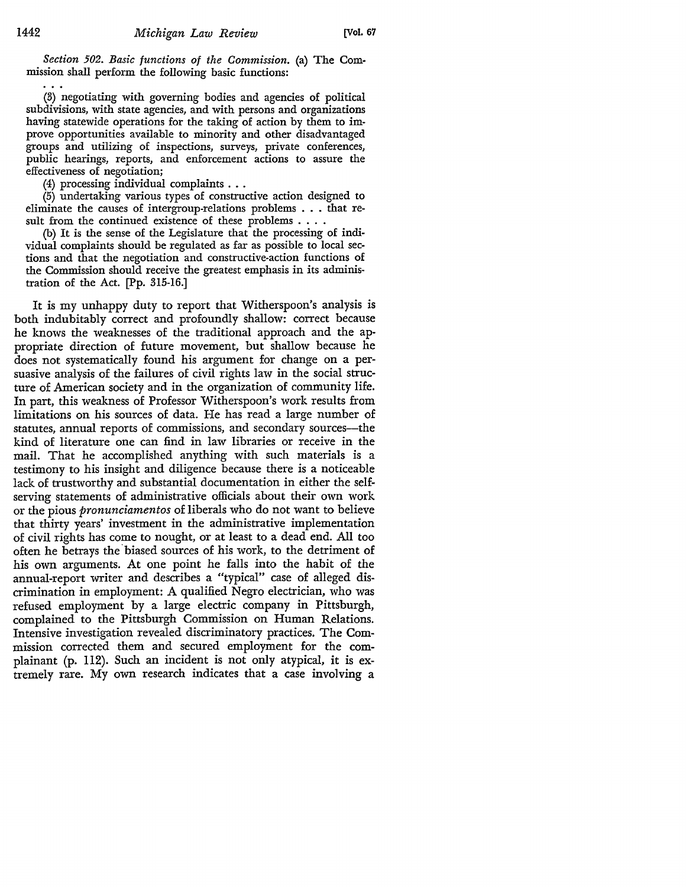*Section 502. Basic functions of the Commission.* (a) The Commission shall perform the following basic functions:

(3) negotiating with governing bodies and agencies of political subdivisions, with state agencies, and with persons and organizations having statewide operations for the taking of action by them to improve opportunities available to minority and other disadvantaged groups and utilizing of inspections, surveys, private conferences, public hearings, reports, and enforcement actions to assure the effectiveness of negotiation;

(4) processing individual complaints ...

(5) undertaking various types of constructive action designed to eliminate the causes of intergroup-relations problems . . . that result from the continued existence of these problems . . . .

(b) It is the sense of the Legislature that the processing of individual complaints should be regulated as far as possible to local sections and that the negotiation and constructive-action functions of the Commission should receive the greatest emphasis in its administration of the Act. [Pp. 315-16.J

It is my unhappy duty to report that Witherspoon's analysis is both indubitably correct and profoundly shallow: correct because he knows the weaknesses of the traditional approach and the appropriate direction of future movement, but shallow because he does not systematically found his argument for change on a persuasive analysis of the failures of civil rights law in the social structure of American society and in the organization of community life. In part, this weakness of Professor Witherspoon's work results from limitations on his sources of data. He has read a large number of statutes, annual reports of commissions, and secondary sources-the kind of literature one can find in law libraries or receive in the mail. That he accomplished anything with such materials is a testimony to his insight and diligence because there is a noticeable lack of trustworthy and substantial documentation in either the selfserving statements of administrative officials about their own work or the pious *pronunciamentos* of liberals who do not want to believe that thirty years' investment in the administrative implementation of civil rights has come to nought, or at least to a dead end. All too often he betrays the "biased sources of his work, to the detriment of his own arguments. At one point he falls into the habit of the annual-report writer and describes a "typical" case of alleged discrimination in employment: A qualified Negro electrician, who was refused employment by a large electric company in Pittsburgh, complained to the Pittsburgh Commission on Human Relations. Intensive investigation revealed discriminatory practices. The Commission corrected them and secured employment for the complainant (p. 112). Such an incident is not only atypical, it is extremely rare. My own research indicates that a case involving a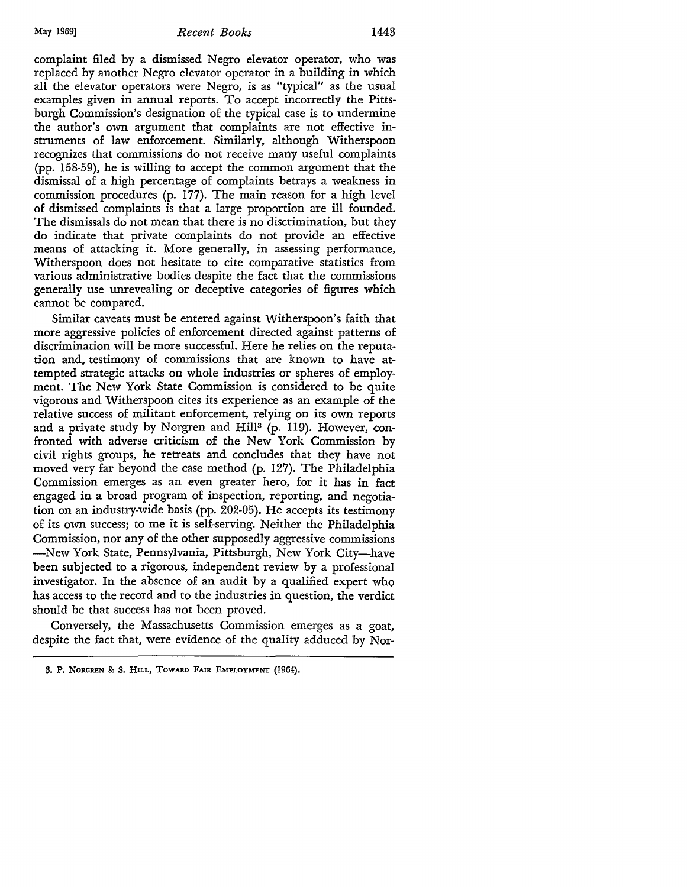complaint filed by a dismissed Negro elevator operator, who was replaced by another Negro elevator operator in a building in which all the elevator operators were Negro, is as "typical" as the usual examples given in annual reports. To accept incorrectly the Pittsburgh Commission's designation of the typical case is to undermine the author's own argument that complaints are not effective instruments of law enforcement. Similarly, although Witherspoon recognizes that commissions do not receive many useful complaints (pp. 158-59), he is willing to accept the common argument that the dismissal of a high percentage of complaints betrays a weakness in commission procedures (p. 177). The main reason for a high level of dismissed complaints is that a large proportion are ill founded. The dismissals do not mean that there is no discrimination, but they do indicate that private complaints do not provide an effective means of attacking it. More generally, in assessing performance, Witherspoon does not hesitate to cite comparative statistics from various administrative bodies despite the fact that the commissions generally use unrevealing or deceptive categories of figures which cannot be compared.

Similar caveats must be entered against Witherspoon's faith that more aggressive policies of enforcement directed against patterns of discrimination will be more successful. Here he relies on the reputation and. testimony of commissions that are known to have attempted strategic attacks on whole industries or spheres of employment. The New York State Commission is considered to be quite vigorous and Witherspoon cites its experience as an example of the relative success of militant enforcement, relying on its own reports and a private study by Norgren and Hill<sup>3</sup> (p. 119). However, confronted with adverse criticism of the New York Commission by civil rights groups, he retreats and concludes that they have not moved very far beyond the case method (p. 127). The Philadelphia Commission emerges as an even greater hero, for it has in fact engaged in a broad program of inspection, reporting, and negotiation on an industry-wide basis (pp. 202-05). He accepts its testimony of its mvn success; to me it is self-serving. Neither the Philadelphia Commission, nor any of the other supposedly aggressive commissions -New York State, Pennsylvania, Pittsburgh, New York City-have been subjected to a rigorous, independent review by a professional investigator. In the absence of an audit by a qualified expert who has access to the record and to the industries in question, the verdict should be that success has not been proved.

Conversely, the Massachusetts Commission emerges as a goat, despite the fact that, were evidence of the quality adduced by Nor-

<sup>3.</sup> P. NORGREN & S. HILL, TOWARD FAIR EMPLOYMENT (1964).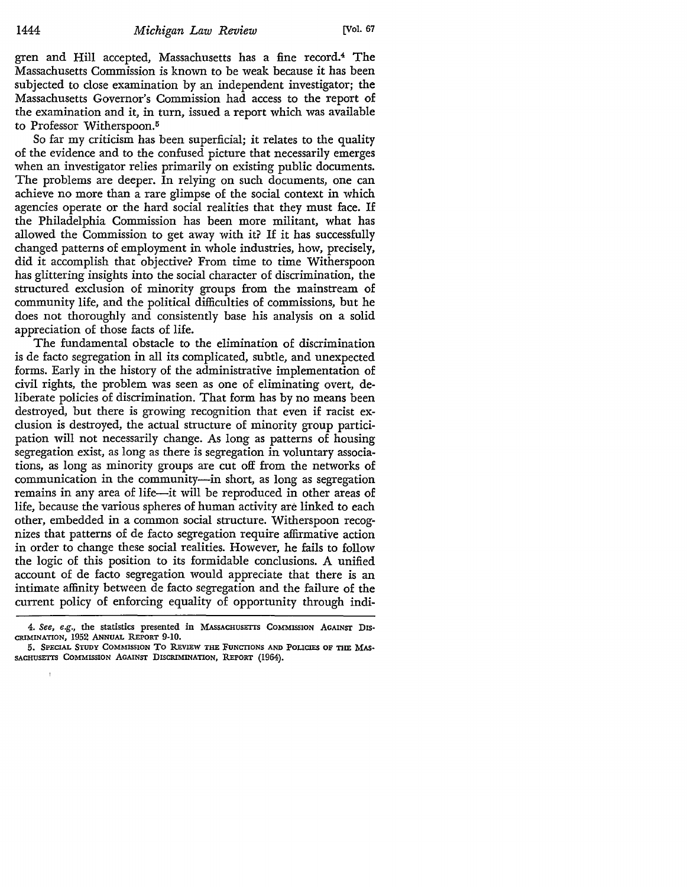gren and Hill accepted, Massachusetts has a fine record.4 The Massachusetts Commission is known to be weak because it has been subjected to close examination by an independent investigator; the Massachusetts Governor's Commission had access to the report of the examination and it, in turn, issued a report which was available to Professor Witherspoon.<sup>5</sup>

So far my criticism has been superficial; it relates to the quality of the evidence and to the confused picture that necessarily emerges when an investigator relies primarily on existing public documents. The problems are deeper. In relying on such documents, one can achieve no more than a rare glimpse of the social context in which agencies operate or the hard social realities that they must face. If the Philadelphia Commission has been more militant, what has allowed the Commission to get away with it? If it has successfully changed patterns of employment in whole industries, how, precisely, did it accomplish that objective? From time to time Witherspoon has glittering insights into the social character of discrimination, the structured exclusion of minority groups from the mainstream of community life, and the political difficulties of commissions, but he does not thoroughly and consistently base his analysis on a solid appreciation of those facts of life.

The fundamental obstacle to the elimination of discrimination is de facto segregation in all its complicated, subtle, and unexpected forms. Early in the history of the administrative implementation of civil rights, the problem was seen as one of eliminating overt, deliberate policies of discrimination. That form has by no means been destroyed, but there is growing recognition that even if racist exclusion is destroyed, the actual structure of minority group participation will not necessarily change. As long as patterns of housing segregation exist, as long as there is segregation in voluntary associations, as long as minority groups are cut off from the networks of communication in the community-in short, as long as segregation remains in any area of life—it will be reproduced in other areas of life, because the various spheres of human activity are linked to each other, embedded in a common social structure. Witherspoon recognizes that patterns of de facto segregation require affirmative action in order to change these social realities. However, he fails to follow the logic of this position to its formidable conclusions. A unified account of de facto segregation would appreciate that there is an intimate affinity between de facto segregation and the failure of the current policy of enforcing equality of opportunity through indi-

<sup>4.</sup> *See, e.g.,* the statistics presented in MAsSACHUSETIS COMMISSION **AGAINST** DIS• CRIMINATION, 1952 ANNUAL REPORT 9-10.

<sup>5.</sup> SPECIAL STUDY COMMISSION To REVIEW THE FuNCTIONS AND POUCIES OF THE MAS• SACHUSETTS COMMISSION AGAINST DISCRIMINATION, REPORT (1964).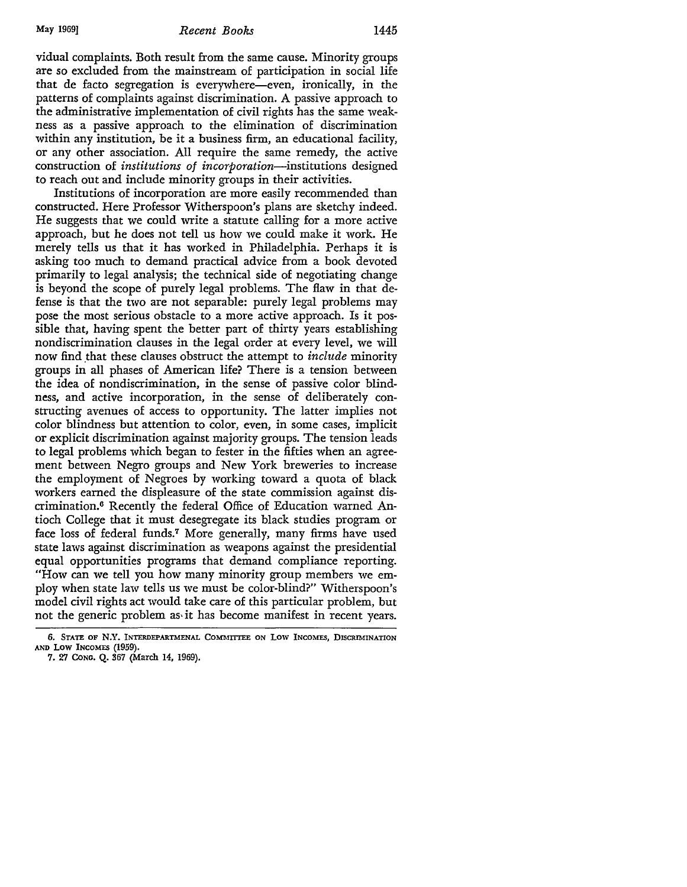### May 1969] *Recent Books* 1445

vidual complaints. Both result from the same cause. Minority groups are so excluded from the mainstream of participation in social life that de facto segregation is everywhere-even, ironically, in the patterns of complaints against discrimination. A passive approach to the administrative implementation of civil rights has the same weakness as a passive approach to the elimination of discrimination within any institution, be it a business firm, an educational facility, or any other association. All require the same remedy, the active construction of *institutions of incorporation-institutions* designed to reach out and include minority groups in their activities.

Institutions of incorporation are more easily recommended than constructed. Here Professor Witherspoon's plans are sketchy indeed. He suggests that we could write a statute calling for a more active approach, but he does not tell us how we could make it work. He merely tells us that it has worked in Philadelphia. Perhaps it is asking too much to demand practical advice from a book devoted primarily to legal analysis; the technical side of negotiating change is beyond the scope of purely legal problems. The flaw in that defense is that the two are not separable: purely legal problems may pose the most serious obstacle to a more active approach. Is it possible that, having spent the better part of thirty years establishing nondiscrimination clauses in the legal order at every level, we will now find \_that these clauses obstruct the attempt to *include* minority groups in all phases of American life? There is a tension between the idea of nondiscrimination, in the sense of passive color blindness, and active incorporation, in the sense of deliberately constructing avenues of access to opportunity. The latter implies not color blindness but attention to color, even, in some cases, implicit or explicit discrimination against majority groups. The tension leads to legal problems which began to fester in the fifties when an agreement between Negro groups and New York breweries to increase the employment of Negroes by working toward a quota of black workers earned the displeasure of the state commission against discrimination. 6 Recently the federal Office of Education warned Antioch College that it must desegregate its black studies program or face loss of federal funds.7 More generally, many firms have used state laws against discrimination as weapons against the presidential equal opportunities programs that demand compliance reporting. "How can we tell you how many minority group members we employ when state law tells us we must be color-blind?" Witherspoon's model civil rights act would take care of this particular problem, but not the generic problem as- it has become manifest in recent years.

<sup>6.</sup> STATE OF N.Y. INTERDEPARTMENAL COMMITTEE ON LOW INCOMES, DISCRIMINATION AND Low INCOMES (1959).

<sup>7.</sup> *Z1* CoNG. Q. 367 (March 14, 1969).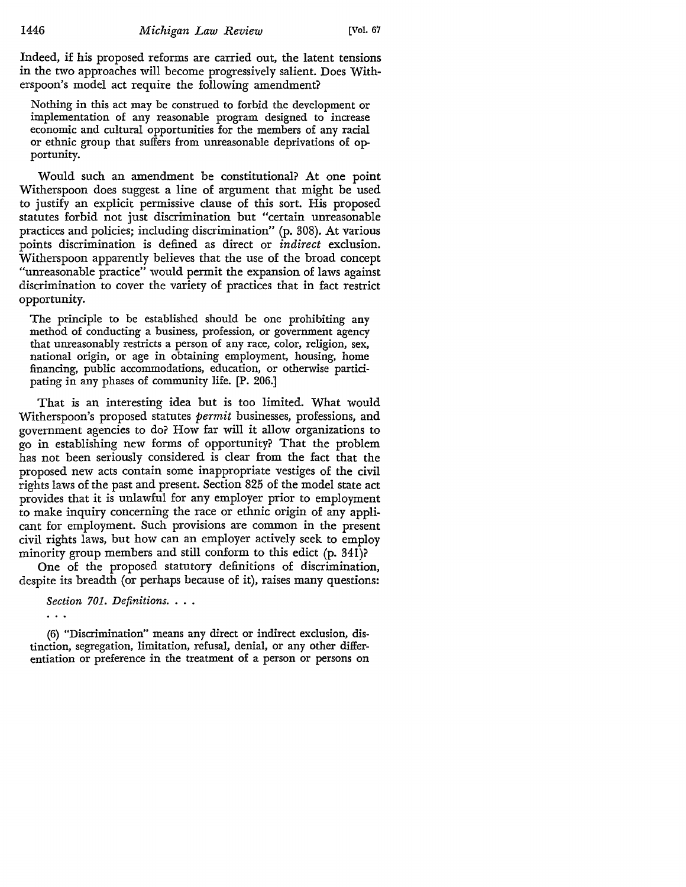Indeed, if his proposed reforms are carried out, the latent tensions in the two approaches will become progressively salient. Does Witherspoon's model act require the following amendment?

Nothing in this act may be construed to forbid the development or implementation of any reasonable program designed to increase economic and cultural opportunities for the members of any racial or ethnic group that suffers from unreasonable deprivations of opportunity.

Would such an amendment be constitutional? At one point Witherspoon does suggest a line of argument that might be used to justify an explicit permissive clause of this sort. His proposed statutes forbid not just discrimination but "certain unreasonable practices and policies; including discrimination" (p. 308). At various points discrimination is defined as direct or *indirect* exclusion. Witherspoon apparently believes that the use of the broad concept "unreasonable practice" would permit the expansion of laws against discrimination to cover the variety of practices that in fact restrict opportunity.

The principle to be established should be one prohibiting any method of conducting a business, profession, or government agency that unreasonably restricts a person of any race, color, religion, sex, national origin, or age in obtaining employment, housing, home financing, public accommodations, education, or otherwise participating in any phases of community life. [P. 206.]

That is an interesting idea but is too limited. What would Witherspoon's proposed statutes *permit* businesses, professions, and government agencies to do? How far will it allow organizations to go in establishing new forms of opportunity? That the problem has not been seriously considered is clear from the fact that the proposed new acts contain some inappropriate vestiges of the civil rights laws of the past and present. Section 825 of the model state act provides that it is unlawful for any employer prior to employment to make inquiry concerning the race or ethnic origin of any applicant for employment. Such provisions are common in the present civil rights laws, but how can an employer actively seek to employ minority group members and still conform to this edict (p. 341)?

One of the proposed statutory definitions of discrimination, despite its breadth (or perhaps because of it), raises many questions:

*Section 701. Definitions .* ...

 $\ddotsc$ 

(6) "Discrimination" means any direct or indirect exclusion, distinction, segregation, limitation, refusal, denial, or any other differentiation or preference in the treatment of a person or persons on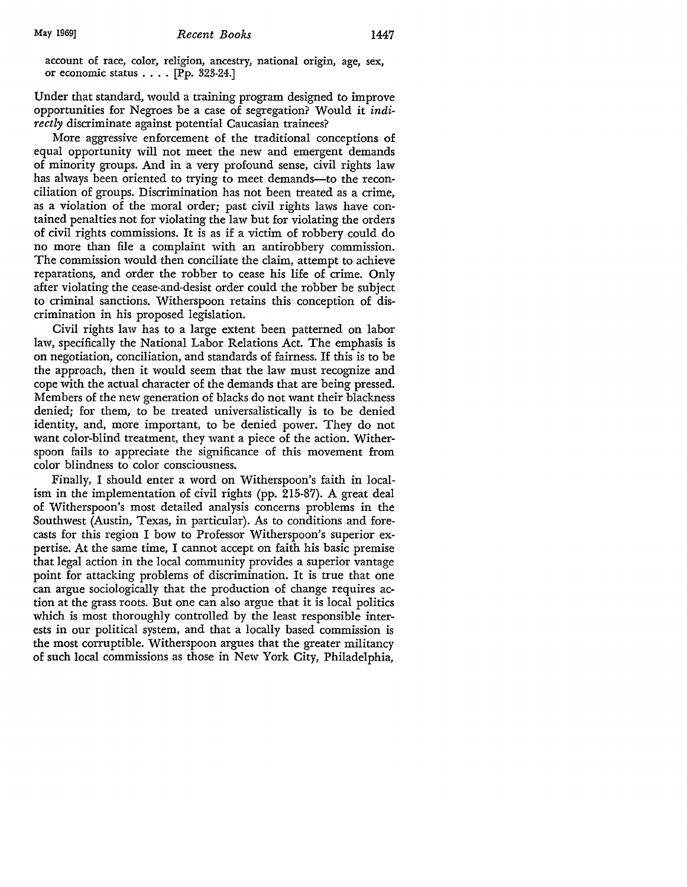account of race, color, religion, ancestry, national origin, age, sex, or economic status .... [Pp. 323-24.]

Under that standard, would a training program designed to improve opportunities for Negroes be a case of segregation? Would it indi*rectly* discriminate against potential Caucasian trainees?

More aggressive enforcement of the traditional conceptions of equal opportunity will not meet the new and emergent demands of minority groups. And in a very profound sense, civil rights law has always been oriented to trying to meet demands-to the reconciliation of groups. Discrimination has not been treated as a crime, as a violation of the moral order; past civil rights laws have contained penalties not for violating the law but for violating the orders of civil rights commissions. It is as if a victim of robbery could do no more than file a complaint with an antirobbery commission. The commission would then conciliate the claim, attempt to achieve reparations, and order the robber to cease his life of crime. Only after violating the cease-and-desist order could the robber be subject to criminal sanctions. Witherspoon retains this conception of discrimination in his proposed legislation.

Civil rights law has to a large extent been patterned on labor law, specifically the National Labor Relations Act. The emphasis is on negotiation, conciliation, and standards of fairness. If this is to be the approach, then it would seem that the law must recognize and cope with the actual character of the demands that are being pressed. Members of the new generation of blacks do not want their blackness denied; for them, to be treated universalistically is to be denied identity, and, more important, to be denied power. They do not want color-blind treatment, they want a piece of the action. Witherspoon fails to appreciate the significance of this movement from color blindness to color consciousness.

Finally, I should enter a word on Witherspoon's faith in localism in the implementation of civil rights (pp. 215-87). A great deal of Witherspoon's most detailed analysis concerns problems in the Southwest (Austin, Texas, in particular). As to conditions and forecasts for this region I bow to Professor Witherspoon's superior expertise. At the same time, I cannot accept on faith his basic premise that legal action in the local community provides a superior vantage point for attacking problems of discrimination. It is true that one can argue sociologically that the production of change requires action at the grass roots. But one can also argue that it is local politics which is most thoroughly controlled by the least responsible interests in our political system, and that a locally based commission is the most corruptible. Witherspoon argues that the greater militancy of such local commissions as those in New York City, Philadelphia,